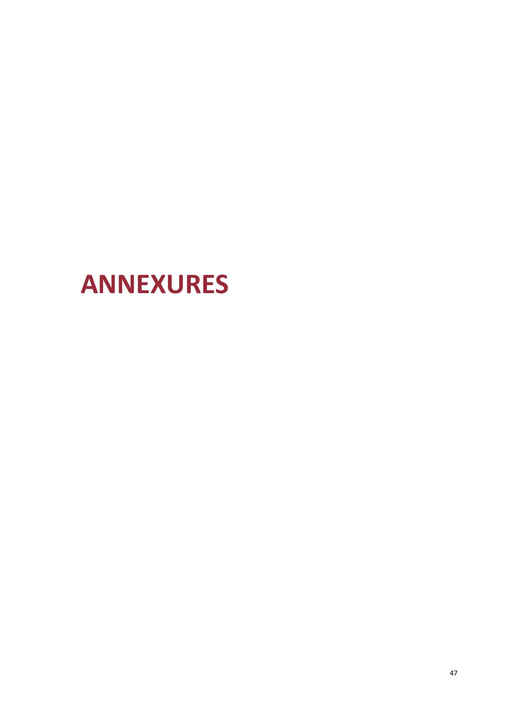# **ANNEXURES**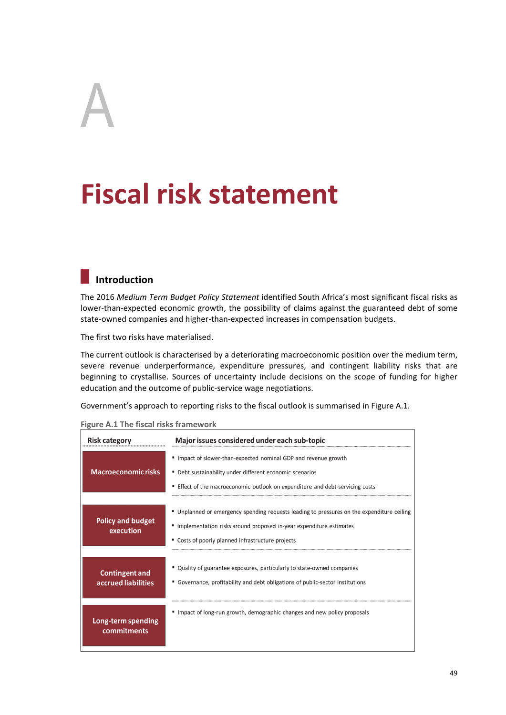# A

# **Fiscal risk statement**

## **Introduction**

The 2016 *Medium Term Budget Policy Statement* identified South Africa's most significant fiscal risks as lower-than-expected economic growth, the possibility of claims against the guaranteed debt of some state-owned companies and higher-than-expected increases in compensation budgets.

The first two risks have materialised.

The current outlook is characterised by a deteriorating macroeconomic position over the medium term, severe revenue underperformance, expenditure pressures, and contingent liability risks that are beginning to crystallise. Sources of uncertainty include decisions on the scope of funding for higher education and the outcome of public-service wage negotiations.

Government's approach to reporting risks to the fiscal outlook is summarised in Figure A.1.

| <b>Risk category</b>                         | Major issues considered under each sub-topic                                                                                                                                                                            |
|----------------------------------------------|-------------------------------------------------------------------------------------------------------------------------------------------------------------------------------------------------------------------------|
| <b>Macroeconomic risks</b>                   | " Impact of slower-than-expected nominal GDP and revenue growth<br>" Debt sustainability under different economic scenarios<br>" Effect of the macroeconomic outlook on expenditure and debt-servicing costs            |
|                                              |                                                                                                                                                                                                                         |
| <b>Policy and budget</b><br>execution        | " Unplanned or emergency spending requests leading to pressures on the expenditure ceiling<br>" Implementation risks around proposed in-year expenditure estimates<br>" Costs of poorly planned infrastructure projects |
|                                              |                                                                                                                                                                                                                         |
| <b>Contingent and</b><br>accrued liabilities | " Quality of guarantee exposures, particularly to state-owned companies<br>" Governance, profitability and debt obligations of public-sector institutions                                                               |
| Long-term spending<br>commitments            | Impact of long-run growth, demographic changes and new policy proposals                                                                                                                                                 |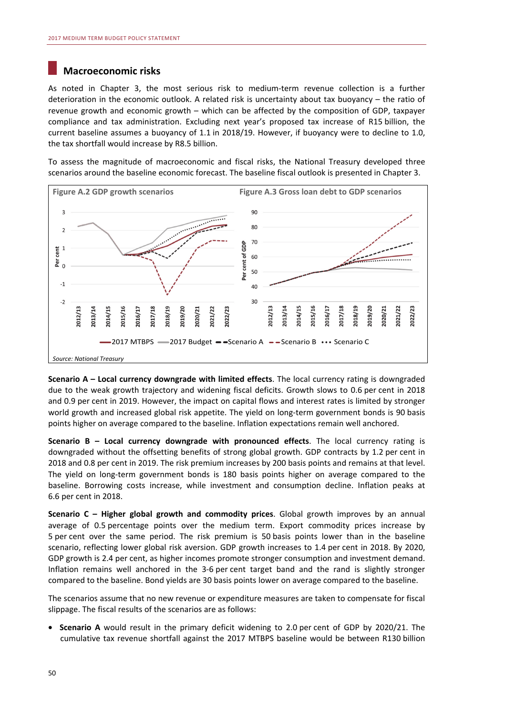### **Macroeconomic risks**

As noted in Chapter 3, the most serious risk to medium-term revenue collection is a further deterioration in the economic outlook. A related risk is uncertainty about tax buoyancy – the ratio of revenue growth and economic growth – which can be affected by the composition of GDP, taxpayer compliance and tax administration. Excluding next year's proposed tax increase of R15 billion, the current baseline assumes a buoyancy of 1.1 in 2018/19. However, if buoyancy were to decline to 1.0, the tax shortfall would increase by R8.5 billion.

To assess the magnitude of macroeconomic and fiscal risks, the National Treasury developed three scenarios around the baseline economic forecast. The baseline fiscal outlook is presented in Chapter 3.



**Scenario A – Local currency downgrade with limited effects**. The local currency rating is downgraded due to the weak growth trajectory and widening fiscal deficits. Growth slows to 0.6 per cent in 2018 and 0.9 per cent in 2019. However, the impact on capital flows and interest rates is limited by stronger world growth and increased global risk appetite. The yield on long-term government bonds is 90 basis points higher on average compared to the baseline. Inflation expectations remain well anchored.

**Scenario B – Local currency downgrade with pronounced effects**. The local currency rating is downgraded without the offsetting benefits of strong global growth. GDP contracts by 1.2 per cent in 2018 and 0.8 per cent in 2019. The risk premium increases by 200 basis points and remains at that level. The yield on long-term government bonds is 180 basis points higher on average compared to the baseline. Borrowing costs increase, while investment and consumption decline. Inflation peaks at 6.6 per cent in 2018.

**Scenario C – Higher global growth and commodity prices**. Global growth improves by an annual average of 0.5 percentage points over the medium term. Export commodity prices increase by 5 per cent over the same period. The risk premium is 50 basis points lower than in the baseline scenario, reflecting lower global risk aversion. GDP growth increases to 1.4 per cent in 2018. By 2020, GDP growth is 2.4 per cent, as higher incomes promote stronger consumption and investment demand. Inflation remains well anchored in the 3-6 per cent target band and the rand is slightly stronger compared to the baseline. Bond yields are 30 basis points lower on average compared to the baseline.

The scenarios assume that no new revenue or expenditure measures are taken to compensate for fiscal slippage. The fiscal results of the scenarios are as follows:

• **Scenario A** would result in the primary deficit widening to 2.0 per cent of GDP by 2020/21. The cumulative tax revenue shortfall against the 2017 MTBPS baseline would be between R130 billion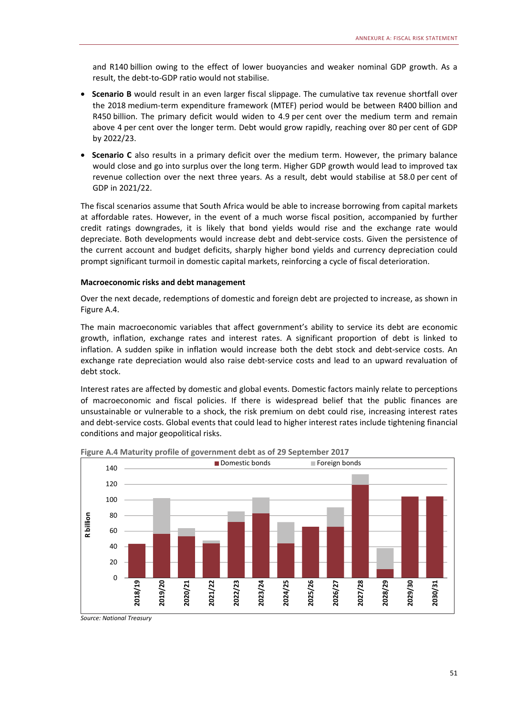and R140 billion owing to the effect of lower buoyancies and weaker nominal GDP growth. As a result, the debt-to-GDP ratio would not stabilise.

- **Scenario B** would result in an even larger fiscal slippage. The cumulative tax revenue shortfall over the 2018 medium-term expenditure framework (MTEF) period would be between R400 billion and R450 billion. The primary deficit would widen to 4.9 per cent over the medium term and remain above 4 per cent over the longer term. Debt would grow rapidly, reaching over 80 per cent of GDP by 2022/23.
- **Scenario C** also results in a primary deficit over the medium term. However, the primary balance would close and go into surplus over the long term. Higher GDP growth would lead to improved tax revenue collection over the next three years. As a result, debt would stabilise at 58.0 per cent of GDP in 2021/22.

The fiscal scenarios assume that South Africa would be able to increase borrowing from capital markets at affordable rates. However, in the event of a much worse fiscal position, accompanied by further credit ratings downgrades, it is likely that bond yields would rise and the exchange rate would depreciate. Both developments would increase debt and debt-service costs. Given the persistence of the current account and budget deficits, sharply higher bond yields and currency depreciation could prompt significant turmoil in domestic capital markets, reinforcing a cycle of fiscal deterioration.

#### **Macroeconomic risks and debt management**

Over the next decade, redemptions of domestic and foreign debt are projected to increase, as shown in Figure A.4.

The main macroeconomic variables that affect government's ability to service its debt are economic growth, inflation, exchange rates and interest rates. A significant proportion of debt is linked to inflation. A sudden spike in inflation would increase both the debt stock and debt-service costs. An exchange rate depreciation would also raise debt-service costs and lead to an upward revaluation of debt stock.

Interest rates are affected by domestic and global events. Domestic factors mainly relate to perceptions of macroeconomic and fiscal policies. If there is widespread belief that the public finances are unsustainable or vulnerable to a shock, the risk premium on debt could rise, increasing interest rates and debt-service costs. Global events that could lead to higher interest rates include tightening financial conditions and major geopolitical risks.



**Figure A.4 Maturity profile of government debt as of 29 September 2017** 

*Source: National Treasury*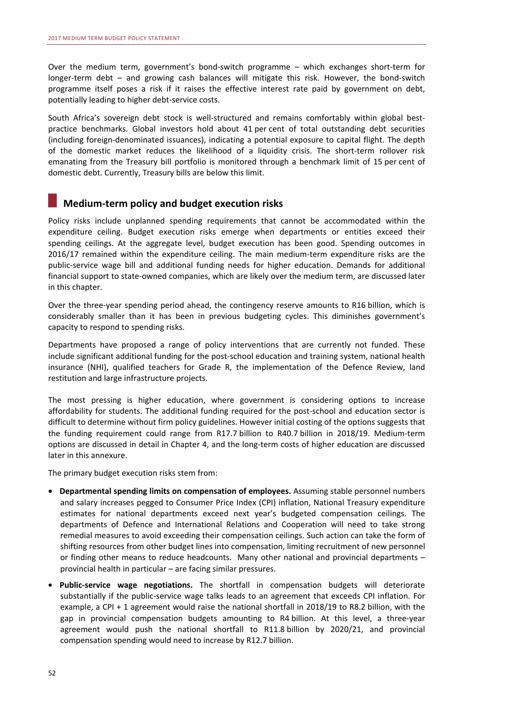Over the medium term, government's bond-switch programme – which exchanges short-term for longer-term debt – and growing cash balances will mitigate this risk. However, the bond-switch programme itself poses a risk if it raises the effective interest rate paid by government on debt, potentially leading to higher debt-service costs.

South Africa's sovereign debt stock is well-structured and remains comfortably within global bestpractice benchmarks. Global investors hold about 41 per cent of total outstanding debt securities (including foreign-denominated issuances), indicating a potential exposure to capital flight. The depth of the domestic market reduces the likelihood of a liquidity crisis. The short-term rollover risk emanating from the Treasury bill portfolio is monitored through a benchmark limit of 15 per cent of domestic debt. Currently, Treasury bills are below this limit.

#### **Medium-term policy and budget execution risks**

Policy risks include unplanned spending requirements that cannot be accommodated within the expenditure ceiling. Budget execution risks emerge when departments or entities exceed their spending ceilings. At the aggregate level, budget execution has been good. Spending outcomes in 2016/17 remained within the expenditure ceiling. The main medium-term expenditure risks are the public-service wage bill and additional funding needs for higher education. Demands for additional financial support to state-owned companies, which are likely over the medium term, are discussed later in this chapter.

Over the three-year spending period ahead, the contingency reserve amounts to R16 billion, which is considerably smaller than it has been in previous budgeting cycles. This diminishes government's capacity to respond to spending risks.

Departments have proposed a range of policy interventions that are currently not funded. These include significant additional funding for the post-school education and training system, national health insurance (NHI), qualified teachers for Grade R, the implementation of the Defence Review, land restitution and large infrastructure projects.

The most pressing is higher education, where government is considering options to increase affordability for students. The additional funding required for the post-school and education sector is difficult to determine without firm policy guidelines. However initial costing of the options suggests that the funding requirement could range from R17.7 billion to R40.7 billion in 2018/19. Medium-term options are discussed in detail in Chapter 4, and the long-term costs of higher education are discussed later in this annexure.

The primary budget execution risks stem from:

- **Departmental spending limits on compensation of employees.** Assuming stable personnel numbers and salary increases pegged to Consumer Price Index (CPI) inflation, National Treasury expenditure estimates for national departments exceed next year's budgeted compensation ceilings. The departments of Defence and International Relations and Cooperation will need to take strong remedial measures to avoid exceeding their compensation ceilings. Such action can take the form of shifting resources from other budget lines into compensation, limiting recruitment of new personnel or finding other means to reduce headcounts. Many other national and provincial departments – provincial health in particular – are facing similar pressures.
- **Public-service wage negotiations.** The shortfall in compensation budgets will deteriorate substantially if the public-service wage talks leads to an agreement that exceeds CPI inflation. For example, a CPI + 1 agreement would raise the national shortfall in 2018/19 to R8.2 billion, with the gap in provincial compensation budgets amounting to R4 billion. At this level, a three-year agreement would push the national shortfall to R11.8 billion by 2020/21, and provincial compensation spending would need to increase by R12.7 billion.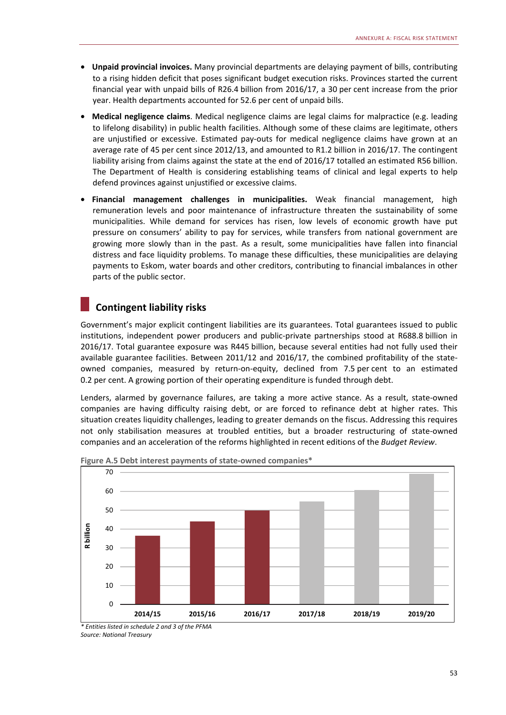- **Unpaid provincial invoices.** Many provincial departments are delaying payment of bills, contributing to a rising hidden deficit that poses significant budget execution risks. Provinces started the current financial year with unpaid bills of R26.4 billion from 2016/17, a 30 per cent increase from the prior year. Health departments accounted for 52.6 per cent of unpaid bills.
- **Medical negligence claims**. Medical negligence claims are legal claims for malpractice (e.g. leading to lifelong disability) in public health facilities. Although some of these claims are legitimate, others are unjustified or excessive. Estimated pay-outs for medical negligence claims have grown at an average rate of 45 per cent since 2012/13, and amounted to R1.2 billion in 2016/17. The contingent liability arising from claims against the state at the end of 2016/17 totalled an estimated R56 billion. The Department of Health is considering establishing teams of clinical and legal experts to help defend provinces against unjustified or excessive claims.
- **Financial management challenges in municipalities.** Weak financial management, high remuneration levels and poor maintenance of infrastructure threaten the sustainability of some municipalities. While demand for services has risen, low levels of economic growth have put pressure on consumers' ability to pay for services, while transfers from national government are growing more slowly than in the past. As a result, some municipalities have fallen into financial distress and face liquidity problems. To manage these difficulties, these municipalities are delaying payments to Eskom, water boards and other creditors, contributing to financial imbalances in other parts of the public sector.

## **Contingent liability risks**

Government's major explicit contingent liabilities are its guarantees. Total guarantees issued to public institutions, independent power producers and public-private partnerships stood at R688.8 billion in 2016/17. Total guarantee exposure was R445 billion, because several entities had not fully used their available guarantee facilities. Between 2011/12 and 2016/17, the combined profitability of the stateowned companies, measured by return-on-equity, declined from 7.5 per cent to an estimated 0.2 per cent. A growing portion of their operating expenditure is funded through debt.

Lenders, alarmed by governance failures, are taking a more active stance. As a result, state-owned companies are having difficulty raising debt, or are forced to refinance debt at higher rates. This situation creates liquidity challenges, leading to greater demands on the fiscus. Addressing this requires not only stabilisation measures at troubled entities, but a broader restructuring of state-owned companies and an acceleration of the reforms highlighted in recent editions of the *Budget Review*.



**Figure A.5 Debt interest payments of state-owned companies\*** 

*\* Entities listed in schedule 2 and 3 of the PFMA Source: National Treasury*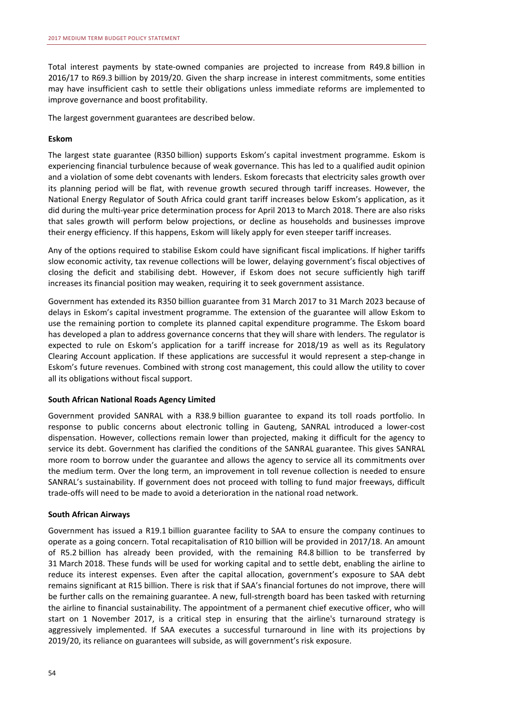Total interest payments by state-owned companies are projected to increase from R49.8 billion in 2016/17 to R69.3 billion by 2019/20. Given the sharp increase in interest commitments, some entities may have insufficient cash to settle their obligations unless immediate reforms are implemented to improve governance and boost profitability.

The largest government guarantees are described below.

#### **Eskom**

The largest state guarantee (R350 billion) supports Eskom's capital investment programme. Eskom is experiencing financial turbulence because of weak governance. This has led to a qualified audit opinion and a violation of some debt covenants with lenders. Eskom forecasts that electricity sales growth over its planning period will be flat, with revenue growth secured through tariff increases. However, the National Energy Regulator of South Africa could grant tariff increases below Eskom's application, as it did during the multi-year price determination process for April 2013 to March 2018. There are also risks that sales growth will perform below projections, or decline as households and businesses improve their energy efficiency. If this happens, Eskom will likely apply for even steeper tariff increases.

Any of the options required to stabilise Eskom could have significant fiscal implications. If higher tariffs slow economic activity, tax revenue collections will be lower, delaying government's fiscal objectives of closing the deficit and stabilising debt. However, if Eskom does not secure sufficiently high tariff increases its financial position may weaken, requiring it to seek government assistance.

Government has extended its R350 billion guarantee from 31 March 2017 to 31 March 2023 because of delays in Eskom's capital investment programme. The extension of the guarantee will allow Eskom to use the remaining portion to complete its planned capital expenditure programme. The Eskom board has developed a plan to address governance concerns that they will share with lenders. The regulator is expected to rule on Eskom's application for a tariff increase for 2018/19 as well as its Regulatory Clearing Account application. If these applications are successful it would represent a step-change in Eskom's future revenues. Combined with strong cost management, this could allow the utility to cover all its obligations without fiscal support.

#### **South African National Roads Agency Limited**

Government provided SANRAL with a R38.9 billion guarantee to expand its toll roads portfolio. In response to public concerns about electronic tolling in Gauteng, SANRAL introduced a lower-cost dispensation. However, collections remain lower than projected, making it difficult for the agency to service its debt. Government has clarified the conditions of the SANRAL guarantee. This gives SANRAL more room to borrow under the guarantee and allows the agency to service all its commitments over the medium term. Over the long term, an improvement in toll revenue collection is needed to ensure SANRAL's sustainability. If government does not proceed with tolling to fund major freeways, difficult trade-offs will need to be made to avoid a deterioration in the national road network.

#### **South African Airways**

Government has issued a R19.1 billion guarantee facility to SAA to ensure the company continues to operate as a going concern. Total recapitalisation of R10 billion will be provided in 2017/18. An amount of R5.2 billion has already been provided, with the remaining R4.8 billion to be transferred by 31 March 2018. These funds will be used for working capital and to settle debt, enabling the airline to reduce its interest expenses. Even after the capital allocation, government's exposure to SAA debt remains significant at R15 billion. There is risk that if SAA's financial fortunes do not improve, there will be further calls on the remaining guarantee. A new, full-strength board has been tasked with returning the airline to financial sustainability. The appointment of a permanent chief executive officer, who will start on 1 November 2017, is a critical step in ensuring that the airline's turnaround strategy is aggressively implemented. If SAA executes a successful turnaround in line with its projections by 2019/20, its reliance on guarantees will subside, as will government's risk exposure.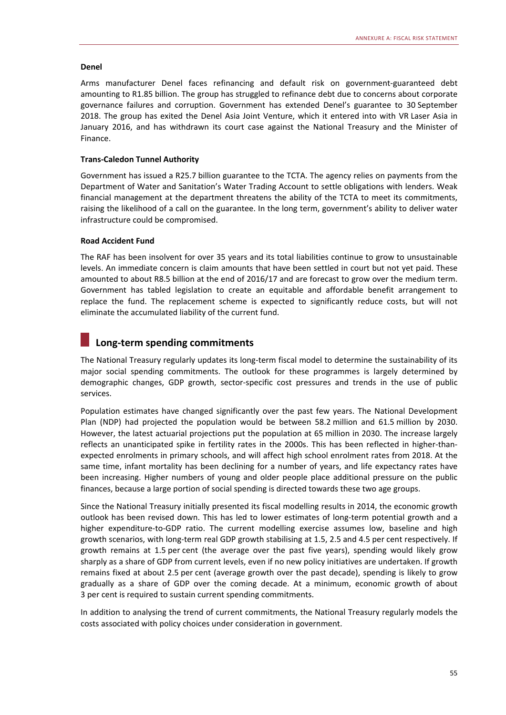#### **Denel**

Arms manufacturer Denel faces refinancing and default risk on government-guaranteed debt amounting to R1.85 billion. The group has struggled to refinance debt due to concerns about corporate governance failures and corruption. Government has extended Denel's guarantee to 30 September 2018. The group has exited the Denel Asia Joint Venture, which it entered into with VR Laser Asia in January 2016, and has withdrawn its court case against the National Treasury and the Minister of Finance.

#### **Trans-Caledon Tunnel Authority**

Government has issued a R25.7 billion guarantee to the TCTA. The agency relies on payments from the Department of Water and Sanitation's Water Trading Account to settle obligations with lenders. Weak financial management at the department threatens the ability of the TCTA to meet its commitments, raising the likelihood of a call on the guarantee. In the long term, government's ability to deliver water infrastructure could be compromised.

#### **Road Accident Fund**

The RAF has been insolvent for over 35 years and its total liabilities continue to grow to unsustainable levels. An immediate concern is claim amounts that have been settled in court but not yet paid. These amounted to about R8.5 billion at the end of 2016/17 and are forecast to grow over the medium term. Government has tabled legislation to create an equitable and affordable benefit arrangement to replace the fund. The replacement scheme is expected to significantly reduce costs, but will not eliminate the accumulated liability of the current fund.

# **Long-term spending commitments**

The National Treasury regularly updates its long-term fiscal model to determine the sustainability of its major social spending commitments. The outlook for these programmes is largely determined by demographic changes, GDP growth, sector-specific cost pressures and trends in the use of public services.

Population estimates have changed significantly over the past few years. The National Development Plan (NDP) had projected the population would be between 58.2 million and 61.5 million by 2030. However, the latest actuarial projections put the population at 65 million in 2030. The increase largely reflects an unanticipated spike in fertility rates in the 2000s. This has been reflected in higher-thanexpected enrolments in primary schools, and will affect high school enrolment rates from 2018. At the same time, infant mortality has been declining for a number of years, and life expectancy rates have been increasing. Higher numbers of young and older people place additional pressure on the public finances, because a large portion of social spending is directed towards these two age groups.

Since the National Treasury initially presented its fiscal modelling results in 2014, the economic growth outlook has been revised down. This has led to lower estimates of long-term potential growth and a higher expenditure-to-GDP ratio. The current modelling exercise assumes low, baseline and high growth scenarios, with long-term real GDP growth stabilising at 1.5, 2.5 and 4.5 per cent respectively. If growth remains at 1.5 per cent (the average over the past five years), spending would likely grow sharply as a share of GDP from current levels, even if no new policy initiatives are undertaken. If growth remains fixed at about 2.5 per cent (average growth over the past decade), spending is likely to grow gradually as a share of GDP over the coming decade. At a minimum, economic growth of about 3 per cent is required to sustain current spending commitments.

In addition to analysing the trend of current commitments, the National Treasury regularly models the costs associated with policy choices under consideration in government.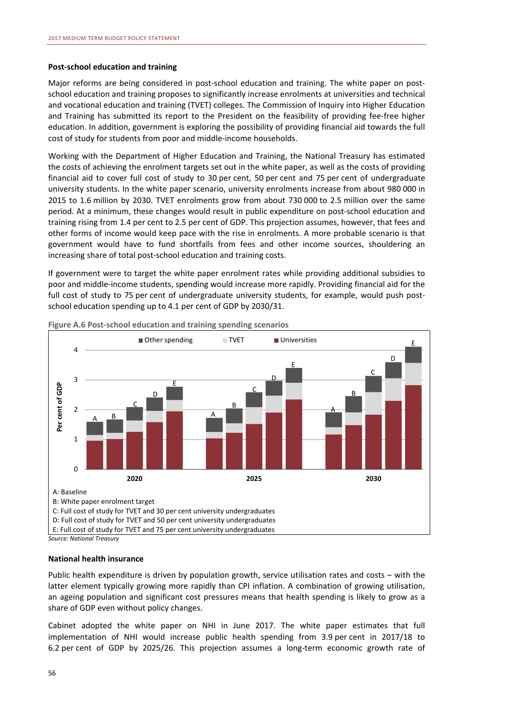#### **Post-school education and training**

Major reforms are being considered in post-school education and training. The white paper on postschool education and training proposes to significantly increase enrolments at universities and technical and vocational education and training (TVET) colleges. The Commission of Inquiry into Higher Education and Training has submitted its report to the President on the feasibility of providing fee-free higher education. In addition, government is exploring the possibility of providing financial aid towards the full cost of study for students from poor and middle-income households.

Working with the Department of Higher Education and Training, the National Treasury has estimated the costs of achieving the enrolment targets set out in the white paper, as well as the costs of providing financial aid to cover full cost of study to 30 per cent, 50 per cent and 75 per cent of undergraduate university students. In the white paper scenario, university enrolments increase from about 980 000 in 2015 to 1.6 million by 2030. TVET enrolments grow from about 730 000 to 2.5 million over the same period. At a minimum, these changes would result in public expenditure on post-school education and training rising from 1.4 per cent to 2.5 per cent of GDP. This projection assumes, however, that fees and other forms of income would keep pace with the rise in enrolments. A more probable scenario is that government would have to fund shortfalls from fees and other income sources, shouldering an increasing share of total post-school education and training costs.

If government were to target the white paper enrolment rates while providing additional subsidies to poor and middle-income students, spending would increase more rapidly. Providing financial aid for the full cost of study to 75 per cent of undergraduate university students, for example, would push postschool education spending up to 4.1 per cent of GDP by 2030/31.



**Figure A.6 Post-school education and training spending scenarios** 

*Source: National Treasury* 

#### **National health insurance**

Public health expenditure is driven by population growth, service utilisation rates and costs – with the latter element typically growing more rapidly than CPI inflation. A combination of growing utilisation, an ageing population and significant cost pressures means that health spending is likely to grow as a share of GDP even without policy changes.

Cabinet adopted the white paper on NHI in June 2017. The white paper estimates that full implementation of NHI would increase public health spending from 3.9 per cent in 2017/18 to 6.2 per cent of GDP by 2025/26. This projection assumes a long-term economic growth rate of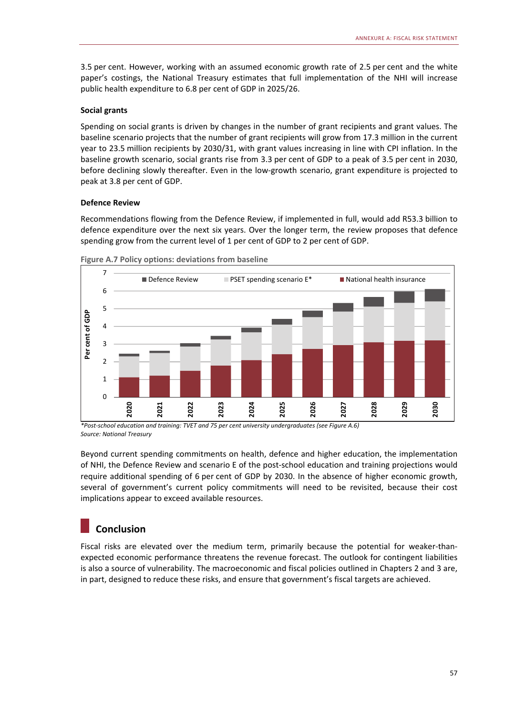3.5 per cent. However, working with an assumed economic growth rate of 2.5 per cent and the white paper's costings, the National Treasury estimates that full implementation of the NHI will increase public health expenditure to 6.8 per cent of GDP in 2025/26.

#### **Social grants**

Spending on social grants is driven by changes in the number of grant recipients and grant values. The baseline scenario projects that the number of grant recipients will grow from 17.3 million in the current year to 23.5 million recipients by 2030/31, with grant values increasing in line with CPI inflation. In the baseline growth scenario, social grants rise from 3.3 per cent of GDP to a peak of 3.5 per cent in 2030, before declining slowly thereafter. Even in the low-growth scenario, grant expenditure is projected to peak at 3.8 per cent of GDP.

#### **Defence Review**

Recommendations flowing from the Defence Review, if implemented in full, would add R53.3 billion to defence expenditure over the next six years. Over the longer term, the review proposes that defence spending grow from the current level of 1 per cent of GDP to 2 per cent of GDP.





*\*Post-school education and training: TVET and 75 per cent university undergraduates (see Figure A.6) Source: National Treasury* 

Beyond current spending commitments on health, defence and higher education, the implementation of NHI, the Defence Review and scenario E of the post-school education and training projections would require additional spending of 6 per cent of GDP by 2030. In the absence of higher economic growth, several of government's current policy commitments will need to be revisited, because their cost implications appear to exceed available resources.

# **Conclusion**

Fiscal risks are elevated over the medium term, primarily because the potential for weaker-thanexpected economic performance threatens the revenue forecast. The outlook for contingent liabilities is also a source of vulnerability. The macroeconomic and fiscal policies outlined in Chapters 2 and 3 are, in part, designed to reduce these risks, and ensure that government's fiscal targets are achieved.